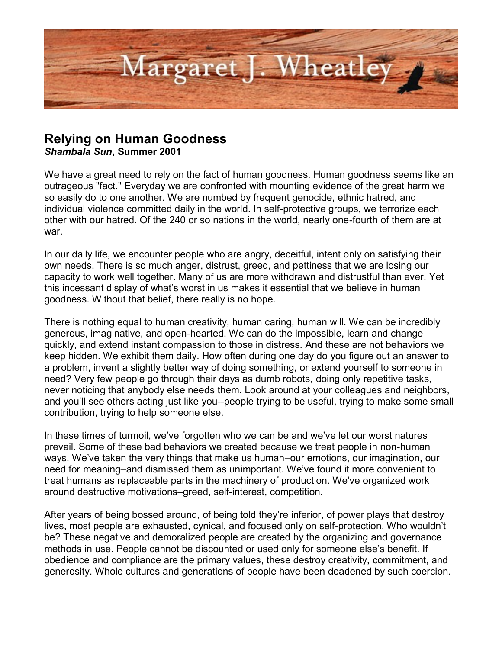

## **Relying on Human Goodness**

*Shambala Sun***, Summer 2001**

We have a great need to rely on the fact of human goodness. Human goodness seems like an outrageous "fact." Everyday we are confronted with mounting evidence of the great harm we so easily do to one another. We are numbed by frequent genocide, ethnic hatred, and individual violence committed daily in the world. In self-protective groups, we terrorize each other with our hatred. Of the 240 or so nations in the world, nearly one-fourth of them are at war.

In our daily life, we encounter people who are angry, deceitful, intent only on satisfying their own needs. There is so much anger, distrust, greed, and pettiness that we are losing our capacity to work well together. Many of us are more withdrawn and distrustful than ever. Yet this incessant display of what's worst in us makes it essential that we believe in human goodness. Without that belief, there really is no hope.

There is nothing equal to human creativity, human caring, human will. We can be incredibly generous, imaginative, and open-hearted. We can do the impossible, learn and change quickly, and extend instant compassion to those in distress. And these are not behaviors we keep hidden. We exhibit them daily. How often during one day do you figure out an answer to a problem, invent a slightly better way of doing something, or extend yourself to someone in need? Very few people go through their days as dumb robots, doing only repetitive tasks, never noticing that anybody else needs them. Look around at your colleagues and neighbors, and you'll see others acting just like you--people trying to be useful, trying to make some small contribution, trying to help someone else.

In these times of turmoil, we've forgotten who we can be and we've let our worst natures prevail. Some of these bad behaviors we created because we treat people in non-human ways. We've taken the very things that make us human–our emotions, our imagination, our need for meaning–and dismissed them as unimportant. We've found it more convenient to treat humans as replaceable parts in the machinery of production. We've organized work around destructive motivations–greed, self-interest, competition.

After years of being bossed around, of being told they're inferior, of power plays that destroy lives, most people are exhausted, cynical, and focused only on self-protection. Who wouldn't be? These negative and demoralized people are created by the organizing and governance methods in use. People cannot be discounted or used only for someone else's benefit. If obedience and compliance are the primary values, these destroy creativity, commitment, and generosity. Whole cultures and generations of people have been deadened by such coercion.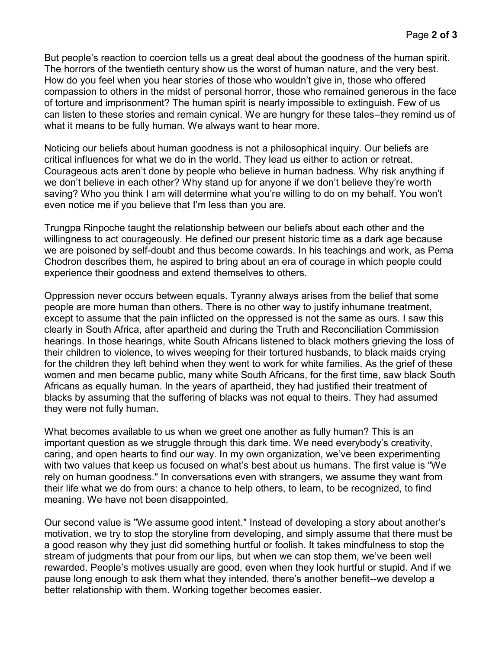But people's reaction to coercion tells us a great deal about the goodness of the human spirit. The horrors of the twentieth century show us the worst of human nature, and the very best. How do you feel when you hear stories of those who wouldn't give in, those who offered compassion to others in the midst of personal horror, those who remained generous in the face of torture and imprisonment? The human spirit is nearly impossible to extinguish. Few of us can listen to these stories and remain cynical. We are hungry for these tales–they remind us of what it means to be fully human. We always want to hear more.

Noticing our beliefs about human goodness is not a philosophical inquiry. Our beliefs are critical influences for what we do in the world. They lead us either to action or retreat. Courageous acts aren't done by people who believe in human badness. Why risk anything if we don't believe in each other? Why stand up for anyone if we don't believe they're worth saving? Who you think I am will determine what you're willing to do on my behalf. You won't even notice me if you believe that I'm less than you are.

Trungpa Rinpoche taught the relationship between our beliefs about each other and the willingness to act courageously. He defined our present historic time as a dark age because we are poisoned by self-doubt and thus become cowards. In his teachings and work, as Pema Chodron describes them, he aspired to bring about an era of courage in which people could experience their goodness and extend themselves to others.

Oppression never occurs between equals. Tyranny always arises from the belief that some people are more human than others. There is no other way to justify inhumane treatment, except to assume that the pain inflicted on the oppressed is not the same as ours. I saw this clearly in South Africa, after apartheid and during the Truth and Reconciliation Commission hearings. In those hearings, white South Africans listened to black mothers grieving the loss of their children to violence, to wives weeping for their tortured husbands, to black maids crying for the children they left behind when they went to work for white families. As the grief of these women and men became public, many white South Africans, for the first time, saw black South Africans as equally human. In the years of apartheid, they had justified their treatment of blacks by assuming that the suffering of blacks was not equal to theirs. They had assumed they were not fully human.

What becomes available to us when we greet one another as fully human? This is an important question as we struggle through this dark time. We need everybody's creativity, caring, and open hearts to find our way. In my own organization, we've been experimenting with two values that keep us focused on what's best about us humans. The first value is "We rely on human goodness." In conversations even with strangers, we assume they want from their life what we do from ours: a chance to help others, to learn, to be recognized, to find meaning. We have not been disappointed.

Our second value is "We assume good intent." Instead of developing a story about another's motivation, we try to stop the storyline from developing, and simply assume that there must be a good reason why they just did something hurtful or foolish. It takes mindfulness to stop the stream of judgments that pour from our lips, but when we can stop them, we've been well rewarded. People's motives usually are good, even when they look hurtful or stupid. And if we pause long enough to ask them what they intended, there's another benefit--we develop a better relationship with them. Working together becomes easier.